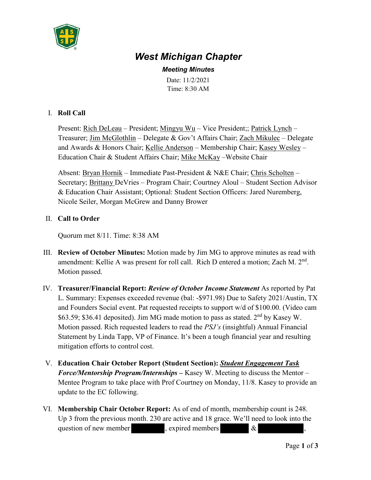

# *West Michigan Chapter*

*Meeting Minutes* Date: 11/2/2021 Time: 8:30 AM

### I. **Roll Call**

Present: Rich DeLeau – President; Mingyu Wu – Vice President;; Patrick Lynch – Treasurer; Jim McGlothlin – Delegate & Gov't Affairs Chair; Zach Mikulec – Delegate and Awards & Honors Chair; Kellie Anderson – Membership Chair; Kasey Wesley – Education Chair & Student Affairs Chair; Mike McKay - Website Chair

Absent: Bryan Hornik – Immediate Past-President & N&E Chair; Chris Scholten – Secretary; Brittany DeVries – Program Chair; Courtney Aloul – Student Section Advisor & Education Chair Assistant; Optional: Student Section Officers: Jared Nuremberg, Nicole Seiler, Morgan McGrew and Danny Brower

## II. **Call to Order**

Quorum met 8/11. Time: 8:38 AM

- III. **Review of October Minutes:** Motion made by Jim MG to approve minutes as read with amendment: Kellie A was present for roll call. Rich D entered a motion; Zach M.  $2<sup>nd</sup>$ . Motion passed.
- IV. **Treasurer/Financial Report:** *Review of October Income Statement* As reported by Pat L. Summary: Expenses exceeded revenue (bal: -\$971.98) Due to Safety 2021/Austin, TX and Founders Social event. Pat requested receipts to support w/d of \$100.00. (Video cam \$63.59; \$36.41 deposited). Jim MG made motion to pass as stated.  $2<sup>nd</sup>$  by Kasey W. Motion passed. Rich requested leaders to read the *PSJ's* (insightful) Annual Financial Statement by Linda Tapp, VP of Finance. It's been a tough financial year and resulting mitigation efforts to control cost.
- V. **Education Chair October Report (Student Section):** *Student Engagement Task Force/Mentorship Program/Internships* **–** Kasey W. Meeting to discuss the Mentor – Mentee Program to take place with Prof Courtney on Monday, 11/8. Kasey to provide an update to the EC following.
- VI. **Membership Chair October Report:** As of end of month, membership count is 248. Up 3 from the previous month. 230 are active and 18 grace. We'll need to look into the question of new member , expired members &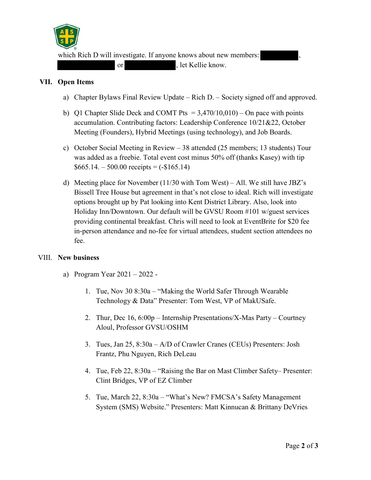

which Rich D will investigate. If anyone knows about new members:

or , let Kellie know.

# **VII. Open Items**

- a) Chapter Bylaws Final Review Update Rich D. Society signed off and approved.
- b) Q1 Chapter Slide Deck and COMT Pts =  $3,470/10,010$ ) On pace with points accumulation. Contributing factors: Leadership Conference 10/21&22, October Meeting (Founders), Hybrid Meetings (using technology), and Job Boards.
- c) October Social Meeting in Review 38 attended (25 members; 13 students) Tour was added as a freebie. Total event cost minus 50% off (thanks Kasey) with tip  $$665.14. - 500.00$  receipts =  $(-$165.14)$
- d) Meeting place for November (11/30 with Tom West) All. We still have JBZ's Bissell Tree House but agreement in that's not close to ideal. Rich will investigate options brought up by Pat looking into Kent District Library. Also, look into Holiday Inn/Downtown. Our default will be GVSU Room #101 w/guest services providing continental breakfast. Chris will need to look at EventBrite for \$20 fee in-person attendance and no-fee for virtual attendees, student section attendees no fee.

### VIII. **New business**

- a) Program Year 2021 2022
	- 1. Tue, Nov 30 8:30a "Making the World Safer Through Wearable Technology & Data" Presenter: Tom West, VP of MakUSafe.
	- 2. Thur, Dec 16, 6:00p Internship Presentations/X-Mas Party Courtney Aloul, Professor GVSU/OSHM
	- 3. Tues, Jan 25, 8:30a A/D of Crawler Cranes (CEUs) Presenters: Josh Frantz, Phu Nguyen, Rich DeLeau
	- 4. Tue, Feb 22, 8:30a "Raising the Bar on Mast Climber Safety– Presenter: Clint Bridges, VP of EZ Climber
	- 5. Tue, March 22, 8:30a "What's New? FMCSA's Safety Management System (SMS) Website." Presenters: Matt Kinnucan & Brittany DeVries